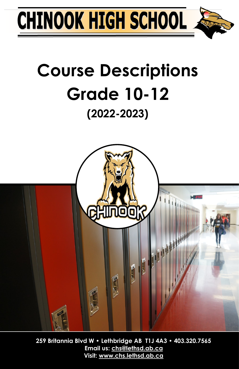

## **Course Descriptions Grade 10-12 (2022-2023)**



**259 Britannia Blvd W • Lethbridge AB T1J 4A3 • 403.320.7565 Email us: chs@lethsd.ab.ca Visit: www.chs.lethsd.ab.ca**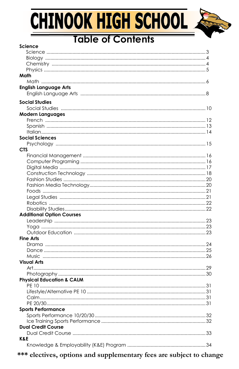# CHINOOK HIGH SCHOOL

 $-1 - 1 - 1 = 1$ 



### **Table of Contents**

| science                              |  |
|--------------------------------------|--|
|                                      |  |
|                                      |  |
|                                      |  |
|                                      |  |
| Math                                 |  |
|                                      |  |
| <b>English Language Arts</b>         |  |
|                                      |  |
| <b>Social Studies</b>                |  |
|                                      |  |
| <b>Modern Languages</b>              |  |
|                                      |  |
|                                      |  |
|                                      |  |
| <b>Social Sciences</b>               |  |
|                                      |  |
| <b>CTS</b>                           |  |
|                                      |  |
|                                      |  |
|                                      |  |
|                                      |  |
|                                      |  |
|                                      |  |
|                                      |  |
|                                      |  |
|                                      |  |
|                                      |  |
|                                      |  |
| <b>Additional Option Courses</b>     |  |
|                                      |  |
|                                      |  |
|                                      |  |
| <b>Fine Arts</b>                     |  |
|                                      |  |
|                                      |  |
|                                      |  |
| <b>Visual Arts</b>                   |  |
|                                      |  |
|                                      |  |
| <b>Physical Education &amp; CALM</b> |  |
|                                      |  |
|                                      |  |
|                                      |  |
|                                      |  |
|                                      |  |
| <b>Sports Performance</b>            |  |
|                                      |  |
|                                      |  |
| <b>Dual Credit Course</b>            |  |
|                                      |  |
| K&E                                  |  |
|                                      |  |
|                                      |  |

\*\*\* electives, options and supplementary fees are subject to change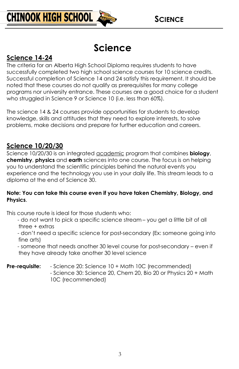### **Science**

#### **Science 14-24**

The criteria for an Alberta High School Diploma requires students to have successfully completed two high school science courses for 10 science credits. Successful completion of Science 14 and 24 satisfy this requirement. It should be noted that these courses do not qualify as prerequisites for many college programs nor university entrance. These courses are a good choice for a student who struggled in Science 9 or Science 10 (i.e. less than 60%).

The science 14 & 24 courses provide opportunities for students to develop knowledge, skills and attitudes that they need to explore interests, to solve problems, make decisions and prepare for further education and careers.

#### **Science 10/20/30**

Science 10/20/30 is an integrated academic program that combines **biology**, **chemistry**, **physics** and **earth** sciences into one course. The focus is on helping you to understand the scientific principles behind the natural events you experience and the technology you use in your daily life. This stream leads to a diploma at the end of Science 30.

#### **Note: You can take this course even if you have taken Chemistry, Biology, and Physics**.

This course route is ideal for those students who:

- do not want to pick a specific science stream – you get a little bit of all three + extras

- don't need a specific science for post-secondary (Ex: someone going into fine arts)

- someone that needs another 30 level course for post-secondary – even if they have already take another 30 level science

#### **Pre-requisite:** - Science 20: Science 10 + Math 10C (recommended)

- Science 30: Science 20, Chem 20, Bio 20 or Physics 20 + Math 10C (recommended)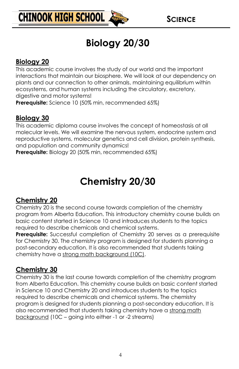

### **Biology 20/30**

#### **Biology 20**

This academic course involves the study of our world and the important interactions that maintain our biosphere. We will look at our dependency on plants and our connection to other animals, maintaining equilibrium within ecosystems, and human systems including the circulatory, excretory, digestive and motor systems!

**Prerequisite:** Science 10 (50% min, recommended 65%)

#### **Biology 30**

This academic diploma course involves the concept of homeostasis at all molecular levels. We will examine the nervous system, endocrine system and reproductive systems, molecular genetics and cell division, protein synthesis, and population and community dynamics!

**Prerequisite:** Biology 20 (50% min, recommended 65%)

### **Chemistry 20/30**

#### **Chemistry 20**

Chemistry 20 is the second course towards completion of the chemistry program from Alberta Education. This introductory chemistry course builds on basic content started in Science 10 and introduces students to the topics required to describe chemicals and chemical systems.

**Prerequisite:** Successful completion of Chemistry 20 serves as a prerequisite for Chemistry 30. The chemistry program is designed for students planning a post-secondary education. It is also recommended that students taking chemistry have a strong math background (10C).

#### **Chemistry 30**

Chemistry 30 is the last course towards completion of the chemistry program from Alberta Education. This chemistry course builds on basic content started in Science 10 and Chemistry 20 and introduces students to the topics required to describe chemicals and chemical systems. The chemistry program is designed for students planning a post-secondary education. It is also recommended that students taking chemistry have a strong math background (10C – going into either -1 or -2 streams)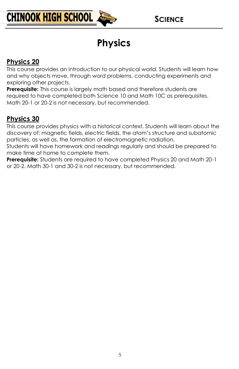

### **Physics**

#### **Physics 20**

This course provides an introduction to our physical world. Students will learn how and why objects move, through word problems, conducting experiments and exploring other projects.

**Prerequisite:** This course is largely math based and therefore students are required to have completed both Science 10 and Math 10C as prerequisites. Math 20-1 or 20-2 is not necessary, but recommended.

#### **Physics 30**

This course provides physics with a historical context. Students will learn about the discovery of; magnetic fields, electric fields, the atom's structure and subatomic particles, as well as, the formation of electromagnetic radiation.

Students will have homework and readings regularly and should be prepared to make time at home to complete them.

**Prerequisite:** Students are required to have completed Physics 20 and Math 20-1 or 20-2. Math 30-1 and 30-2 is not necessary, but recommended.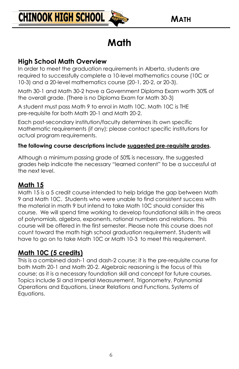

### **Math**

#### **High School Math Overview**

In order to meet the graduation requirements in Alberta, students are required to successfully complete a 10-level mathematics course (10C or 10-3) and a 20-level mathematics course (20-1, 20-2, or 20-3).

Math 30-1 and Math 30-2 have a Government Diploma Exam worth 30% of the overall grade. (There is no Diploma Exam for Math 30-3)

A student must pass Math 9 to enrol in Math 10C. Math 10C is THE pre-requisite for both Math 20-1 and Math 20-2.

Each post-secondary institution/faculty determines its own specific Mathematic requirements (if any); please contact specific institutions for actual program requirements.

#### **The following course descriptions include suggested pre-requisite grades.**

Although a minimum passing grade of 50% is necessary, the suggested grades help indicate the necessary "learned content" to be a successful at the next level.

#### **Math 15**

Math 15 is a 5 credit course intended to help bridge the gap between Math 9 and Math 10C. Students who were unable to find consistent success with the material in math 9 but intend to take Math 10C should consider this course. We will spend time working to develop foundational skills in the areas of polynomials, algebra, exponents, rational numbers and relations. This course will be offered in the first semester. Please note this course does not count toward the math high school graduation requirement. Students will have to go on to take Math 10C or Math 10-3 to meet this requirement.

#### **Math 10C (5 credits)**

This is a combined dash-1 and dash-2 course; it is the pre-requisite course for both Math 20-1 and Math 20-2. Algebraic reasoning is the focus of this course; as it is a necessary foundation skill and concept for future courses. Topics include SI and Imperial Measurement, Trigonometry, Polynomial Operations and Equations, Linear Relations and Functions, Systems of Equations.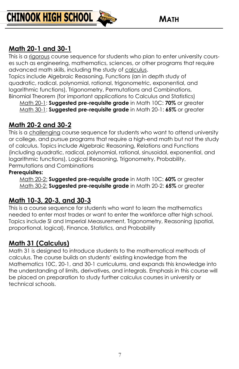

#### **Math 20-1 and 30-1**

This is a rigorous course sequence for students who plan to enter university courses such as engineering, mathematics, sciences, or other programs that require advanced math skills, including the study of calculus.

Topics include Algebraic Reasoning, Functions (an in depth study of quadratic, radical, polynomial, rational, trigonometric, exponential, and logarithmic functions), Trigonometry, Permutations and Combinations, Binomial Theorem (for important applications to Calculus and Statistics)

Math 20-1: **Suggested pre-requisite grade** in Math 10C: **70%** or greater Math 30-1: **Suggested pre-requisite grade** in Math 20-1: **65%** or greater

#### **Math 20-2 and 30-2**

This is a challenging course sequence for students who want to attend university or college, and pursue programs that require a high-end math but not the study of calculus. Topics include Algebraic Reasoning, Relations and Functions (including quadratic, radical, polynomial, rational, sinusoidal, exponential, and logarithmic functions), Logical Reasoning, Trigonometry, Probability, Permutations and Combinations

#### **Prerequisites:**

Math 20-2: **Suggested pre-requisite grade** in Math 10C: **60%** or greater Math 30-2: **Suggested pre-requisite grade** in Math 20-2: **65%** or greater

#### **Math 10-3, 20-3, and 30-3**

This is a course sequence for students who want to learn the mathematics needed to enter most trades or want to enter the workforce after high school. Topics include SI and Imperial Measurement, Trigonometry, Reasoning (spatial, proportional, logical), Finance, Statistics, and Probability

#### **Math 31 (Calculus)**

Math 31 is designed to introduce students to the mathematical methods of calculus. The course builds on students' existing knowledge from the Mathematics 10C, 20-1, and 30-1 curriculums, and expands this knowledge into the understanding of limits, derivatives, and integrals. Emphasis in this course will be placed on preparation to study further calculus courses in university or technical schools.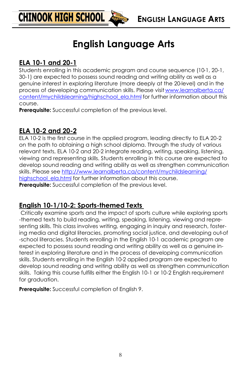### **English Language Arts**

#### **ELA 10-1 and 20-1**

**CHINOOK HIGH SCHOOL &** 

Students enrolling in this academic program and course sequence (10-1, 20-1, 30-1) are expected to possess sound reading and writing ability as well as a genuine interest in exploring literature (more deeply at the 20-level) and in the process of developing communication skills. Please visit [www.learnalberta.ca/](http://www.learnalberta.ca/content/mychildslearning/highschool_ela.html) [content/mychildslearning/highschool\\_ela.html](http://www.learnalberta.ca/content/mychildslearning/highschool_ela.html) for further information about this course.

**Prerequisite:** Successful completion of the previous level.

#### **ELA 10-2 and 20-2**

ELA 10-2 is the first course in the applied program, leading directly to ELA 20-2 on the path to obtaining a high school diploma. Through the study of various relevant texts, ELA 10-2 and 20-2 integrate reading, writing, speaking, listening, viewing and representing skills. Students enrolling in this course are expected to develop sound reading and writing ability as well as strengthen communication skills. Please see [http://www.learnalberta.ca/content/mychildslearning/](http://www.learnalberta.ca/content/mychildslearning/highschool_ela.html) highschool ela.html for further information about this course. **Prerequisite:** Successful completion of the previous level.

#### **English 10-1/10-2: Sports-themed Texts**

Critically examine sports and the impact of sports culture while exploring sports -themed texts to build reading, writing, speaking, listening, viewing and representing skills. This class involves writing, engaging in inquiry and research, fostering media and digital literacies, promoting social justice, and developing out-of -school literacies. Students enrolling in the English 10-1 academic program are expected to possess sound reading and writing ability as well as a genuine interest in exploring literature and in the process of developing communication skills. Students enrolling in the English 10-2 applied program are expected to develop sound reading and writing ability as well as strengthen communication skills. Taking this course fulfills either the English 10-1 or 10-2 English requirement for graduation.

**Prerequisite:** Successful completion of English 9.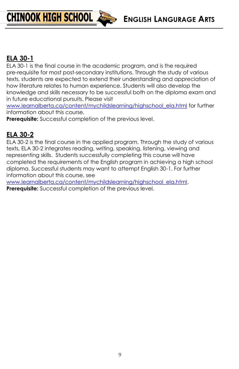**ENGLISH LANGURAGE ARTS**

#### **ELA 30-1**

ELA 30-1 is the final course in the academic program, and is the required pre-requisite for most post-secondary institutions. Through the study of various texts, students are expected to extend their understanding and appreciation of how literature relates to human experience. Students will also develop the knowledge and skills necessary to be successful both on the diploma exam and in future educational pursuits. Please visit

[www.learnalberta.ca/content/mychildslearning/highschool\\_ela.html](http://www.learnalberta.ca/content/mychildslearning/highschool_ela.html) for further information about this course.

**Prerequisite:** Successful completion of the previous level.

**CHINOOK HIGH SCHOOL** 

#### **ELA 30-2**

ELA 30-2 is the final course in the applied program. Through the study of various texts, ELA 30-2 integrates reading, writing, speaking, listening, viewing and representing skills. Students successfully completing this course will have completed the requirements of the English program in achieving a high school diploma. Successful students may want to attempt English 30-1. For further information about this course, see

[www.learnalberta.ca/content/mychildslearning/highschool\\_ela.html.](http://www.learnalberta.ca/content/mychildslearning/highschool_ela.html)  **Prerequisite:** Successful completion of the previous level.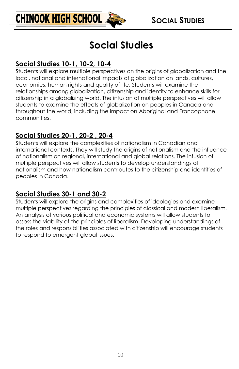

### **Social Studies**

#### **Social Studies 10-1, 10-2, 10-4**

Students will explore multiple perspectives on the origins of globalization and the local, national and international impacts of globalization on lands, cultures, economies, human rights and quality of life. Students will examine the relationships among globalization, citizenship and identity to enhance skills for citizenship in a globalizing world. The infusion of multiple perspectives will allow students to examine the effects of globalization on peoples in Canada and throughout the world, including the impact on Aboriginal and Francophone communities.

#### **Social Studies 20-1, 20-2 , 20-4**

Students will explore the complexities of nationalism in Canadian and international contexts. They will study the origins of nationalism and the influence of nationalism on regional, international and global relations. The infusion of multiple perspectives will allow students to develop understandings of nationalism and how nationalism contributes to the citizenship and identities of peoples in Canada.

#### **Social Studies 30-1 and 30-2**

Students will explore the origins and complexities of ideologies and examine multiple perspectives regarding the principles of classical and modern liberalism. An analysis of various political and economic systems will allow students to assess the viability of the principles of liberalism. Developing understandings of the roles and responsibilities associated with citizenship will encourage students to respond to emergent global issues.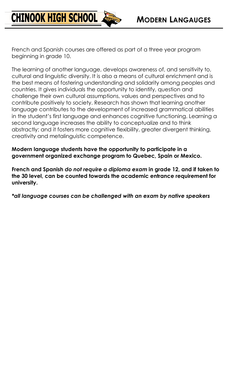French and Spanish courses are offered as part of a three year program beginning in grade 10.

**CHINOOK HIGH SCHOOL** 

The learning of another language, develops awareness of, and sensitivity to, cultural and linguistic diversity. It is also a means of cultural enrichment and is the best means of fostering understanding and solidarity among peoples and countries. It gives individuals the opportunity to identify, question and challenge their own cultural assumptions, values and perspectives and to contribute positively to society. Research has shown that learning another language contributes to the development of increased grammatical abilities in the student's first language and enhances cognitive functioning. Learning a second language increases the ability to conceptualize and to think abstractly; and it fosters more cognitive flexibility, greater divergent thinking, creativity and metalinguistic competence.

**Modern language students have the opportunity to participate in a government organized exchange program to Quebec, Spain or Mexico.** 

**French and Spanish** *do not require a diploma exam* **in grade 12, and if taken to the 30 level, can be counted towards the academic entrance requirement for university.** 

*\*all language courses can be challenged with an exam by native speakers*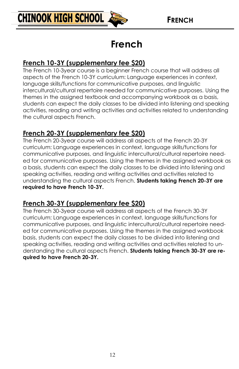

### **French**

#### **French 10-3Y (supplementary fee \$20)**

The French 10-3year course is a beginner French course that will address all aspects of the French 10-3Y curriculum: Language experiences in context, language skills/functions for communicative purposes, and linguistic intercultural/cultural repertoire needed for communicative purposes. Using the themes in the assigned textbook and accompanying workbook as a basis, students can expect the daily classes to be divided into listening and speaking activities, reading and writing activities and activities related to understanding the cultural aspects French.

#### **French 20-3Y (supplementary fee \$20)**

The French 20-3year course will address all aspects of the French 20-3Y curriculum: Language experiences in context, language skills/functions for communicative purposes, and linguistic intercultural/cultural repertoire needed for communicative purposes. Using the themes in the assigned workbook as a basis, students can expect the daily classes to be divided into listening and speaking activities, reading and writing activities and activities related to understanding the cultural aspects French. **Students taking French 20-3Y are required to have French 10-3Y.**

#### **French 30-3Y (supplementary fee \$20)**

The French 30-3year course will address all aspects of the French 30-3Y curriculum: Language experiences in context, language skills/functions for communicative purposes, and linguistic intercultural/cultural repertoire needed for communicative purposes. Using the themes in the assigned workbook basis, students can expect the daily classes to be divided into listening and speaking activities, reading and writing activities and activities related to understanding the cultural aspects French. **Students taking French 30-3Y are required to have French 20-3Y.**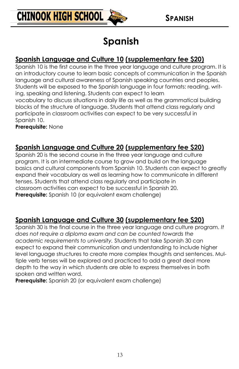

### **Spanish**

#### **Spanish Language and Culture 10 (supplementary fee \$20)**

Spanish 10 is the first course in the three year language and culture program. It is an introductory course to learn basic concepts of communication in the Spanish language and cultural awareness of Spanish speaking countries and peoples. Students will be exposed to the Spanish language in four formats: reading, writing, speaking and listening. Students can expect to learn vocabulary to discuss situations in daily life as well as the grammatical building blocks of the structure of language. Students that attend class regularly and participate in classroom activities can expect to be very successful in Spanish 10.

**Prerequisite:** None

#### **Spanish Language and Culture 20 (supplementary fee \$20)**

Spanish 20 is the second course in the three year language and culture program. It is an intermediate course to grow and build on the language basics and cultural components from Spanish 10. Students can expect to greatly expand their vocabulary as well as learning how to communicate in different tenses. Students that attend class regularly and participate in classroom activities can expect to be successful in Spanish 20. **Prerequisite:** Spanish 10 (or equivalent exam challenge)

#### **Spanish Language and Culture 30 (supplementary fee \$20)**

Spanish 30 is the final course in the three year language and culture program. *It does not require a diploma exam and can be counted towards the academic requirements to university.* Students that take Spanish 30 can expect to expand their communication and understanding to include higher level language structures to create more complex thoughts and sentences. Multiple verb tenses will be explored and practiced to add a great deal more depth to the way in which students are able to express themselves in both spoken and written word.

**Prerequisite:** Spanish 20 (or equivalent exam challenge)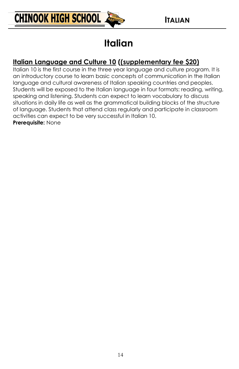

### **Italian**

#### **Italian Language and Culture 10 ((supplementary fee \$20)**

Italian 10 is the first course in the three year language and culture program. It is an introductory course to learn basic concepts of communication in the Italian language and cultural awareness of Italian speaking countries and peoples. Students will be exposed to the Italian language in four formats: reading, writing, speaking and listening. Students can expect to learn vocabulary to discuss situations in daily life as well as the grammatical building blocks of the structure of language. Students that attend class regularly and participate in classroom activities can expect to be very successful in Italian 10.

**Prerequisite:** None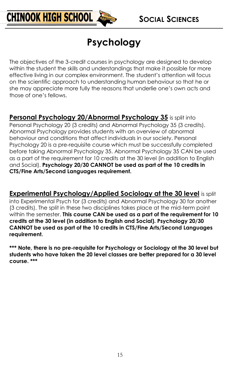

### **Psychology**

The objectives of the 3-credit courses in psychology are designed to develop within the student the skills and understandings that make it possible for more effective living in our complex environment. The student's attention will focus on the scientific approach to understanding human behaviour so that he or she may appreciate more fully the reasons that underlie one's own acts and those of one's fellows.

Personal Psychology 20/Abnormal Psychology 35 is split into Personal Psychology 20 (3 credits) and Abnormal Psychology 35 (3 credits). Abnormal Psychology provides students with an overview of abnormal behaviour and conditions that affect individuals in our society. Personal Psychology 20 is a pre-requisite course which must be successfully completed before taking Abnormal Psychology 35. Abnormal Psychology 35 CAN be used as a part of the requirement for 10 credits at the 30 level (in addition to English and Social). **Psychology 20/30 CANNOT be used as part of the 10 credits in CTS/Fine Arts/Second Languages requirement.**

**Experimental Psychology/Applied Sociology at the 30 level** is split into Experimental Psych for (3 credits) and Abnormal Psychology 30 for another (3 credits). The split in these two disciplines takes place at the mid-term point within the semester. **This course CAN be used as a part of the requirement for 10 credits at the 30 level (in addition to English and Social). Psychology 20/30 CANNOT be used as part of the 10 credits in CTS/Fine Arts/Second Languages requirement.**

**\*\*\* Note, there is no pre-requisite for Psychology or Sociology at the 30 level but students who have taken the 20 level classes are better prepared for a 30 level course. \*\*\***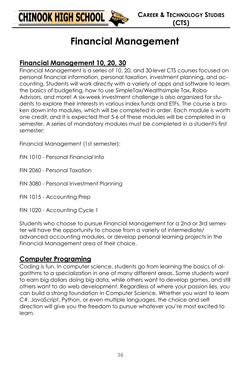

### **Financial Management**

#### **Financial Management 10, 20, 30**

Financial Management is a series of 10, 20, and 30-level CTS courses focused on personal financial information, personal taxation, investment planning, and accounting. Students will work directly with a variety of apps and software to learn the basics of budgeting, how to use SimpleTax/Wealthsimple Tax, Robo-Advisors, and more! A six-week investment challenge is also organized for students to explore their interests in various index funds and ETFs. The course is broken down into modules, which will be completed in order. Each module is worth one credit, and it is expected that 5-6 of these modules will be completed in a semester. A series of mandatory modules must be completed in a student's first semester:

Financial Management (1st semester):

- FIN 1010 Personal Financial Info
- FIN 2060 Personal Taxation
- FIN 3080 Personal Investment Planning
- FIN 1015 Accounting Prep
- FIN 1020 Accounting Cycle 1

Students who choose to pursue Financial Management for a 2nd or 3rd semester will have the opportunity to choose from a variety of intermediate/ advanced accounting modules, or develop personal learning projects in the Financial Management area of their choice.

#### **Computer Programing**

Coding is fun. In computer science, students go from learning the basics of algorithms to a specialization in one of many different areas. Some students want to earn big dollars doing big data, while others want to develop games, and still others want to do web development. Regardless of where your passion lies, you can build a strong foundation in Computer Science. Whether you want to learn C#, JavaScript, Python, or even multiple languages, the choice and selfdirection will give you the freedom to pursue whatever you're most excited to learn.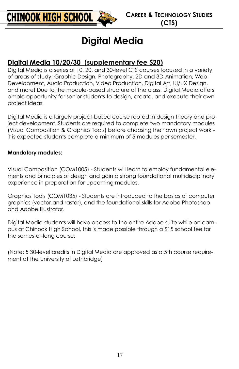### **Digital Media**

#### **Digital Media 10/20/30 (supplementary fee \$20)**

Digital Media is a series of 10, 20, and 30-level CTS courses focused in a variety of areas of study; Graphic Design, Photography, 2D and 3D Animation, Web Development, Audio Production, Video Production, Digital Art, UI/UX Design, and more! Due to the module-based structure of the class, Digital Media offers ample opportunity for senior students to design, create, and execute their own project ideas.

Digital Media is a largely project-based course rooted in design theory and project development. Students are required to complete two mandatory modules (Visual Composition & Graphics Tools) before choosing their own project work it is expected students complete a minimum of 5 modules per semester.

#### **Mandatory modules:**

Visual Composition (COM1005) - Students will learn to employ fundamental elements and principles of design and gain a strong foundational multidisciplinary experience in preparation for upcoming modules.

Graphics Tools (COM1035) - Students are introduced to the basics of computer graphics (vector and raster), and the foundational skills for Adobe Photoshop and Adobe Illustrator.

Digital Media students will have access to the entire Adobe suite while on campus at Chinook High School, this is made possible through a \$15 school fee for the semester-long course.

(Note: 5 30-level credits in Digital Media are approved as a 5th course requirement at the University of Lethbridge)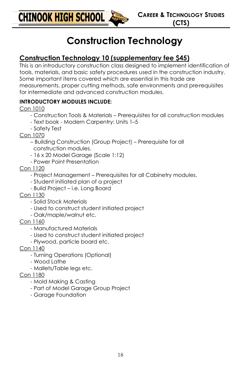**CHINOOK HIGH SCHOOL &** 

### **Construction Technology**

#### **Construction Technology 10 (supplementary fee \$45)**

This is an introductory construction class designed to implement identification of tools, materials, and basic safety procedures used in the construction industry. Some important items covered which are essential in this trade are measurements, proper cutting methods, safe environments and pre-requisites for intermediate and advanced construction modules.

#### **INTRODUCTORY MODULES INCLUDE:**

Con 1010

- Construction Tools & Materials Prerequisites for all construction modules
- Text book Modern Carpentry: Units 1–5
- Safety Test

Con 1070

- Building Construction (Group Project) Prerequisite for all construction modules.
- 16 x 20 Model Garage (Scale 1:12)
- Power Point Presentation

Con 1120

- Project Management Prerequisites for all Cabinetry modules.
- Student initiated plan of a project
- Build Project i.e. Long Board
- Con 1130
	- Solid Stock Materials
	- Used to construct student initiated project
	- Oak/maple/walnut etc.
- Con 1160
	- Manufactured Materials
	- Used to construct student initiated project
	- Plywood, particle board etc.
- Con 1140
	- Turning Operations (Optional)
	- Wood Lathe
	- Mallets/Table legs etc.
- Con 1180
	- Mold Making & Casting
	- Part of Model Garage Group Project
	- Garage Foundation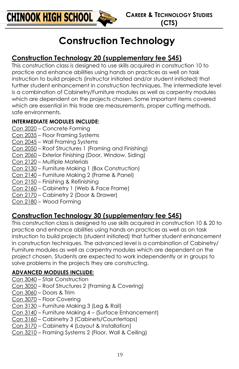

### **Construction Technology**

#### **Construction Technology 20 (supplementary fee \$45)**

This construction class is designed to use skills acquired in construction 10 to practice and enhance abilities using hands on practices as well on task instruction to build projects (instructor initiated and/or student initiated) that further student enhancement in construction techniques. The intermediate level is a combination of Cabinetry/Furniture modules as well as carpentry modules which are dependent on the projects chosen. Some important items covered which are essential in this trade are measurements, proper cutting methods, safe environments.

#### **INTERMEDIATE MODULES INCLUDE:**

- Con 2020 Concrete Forming
- Con 2035 Floor Framing Systems
- Con 2045 Wall Framing Systems
- Con 2050 Roof Structures 1 (Framing and Finishing)
- Con 2060 Exterior Finishing (Door, Window, Siding)
- Con 2120 Multiple Materials
- Con 2130 Furniture Making 1 (Box Construction)
- Con 2140 Furniture Making 2 (Frame & Panel)
- Con 2150 Finishing & Refinishing
- Con 2160 Cabinetry 1 (Web & Face Frame)
- Con 2170 Cabinetry 2 (Door & Drawer)
- Con 2180 Wood Forming

#### **Construction Technology 30 (supplementary fee \$45)**

This construction class is designed to use skills acquired in construction 10 & 20 to practice and enhance abilities using hands on practices as well as on task instruction to build projects (student initiated) that further student enhancement in construction techniques. The advanced level is a combination of Cabinetry/ Furniture modules as well as carpentry modules which are dependent on the project chosen. Students are expected to work independently or in groups to solve problems in the projects they are constructing.

#### **ADVANCED MODULES INCLUDE:**

- Con 3040 Stair Construction
- Con 3050 Roof Structures 2 (Framing & Covering)
- Con 3060 Doors & Trim
- Con 3070 Floor Covering
- Con 3130 Furniture Making 3 (Leg & Rail)
- Con 3140 Furniture Making 4 (Surface Enhancement)
- Con 3160 Cabinetry 3 (Cabinets/Countertops)
- Con 3170 Cabinetry 4 (Layout & Installation)
- Con 3210 Framing Systems 2 (Floor, Wall & Ceiling)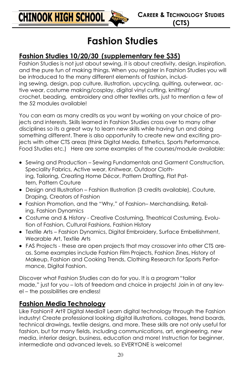### **Fashion Studies**

#### **Fashion Studies 10/20/30 (supplementary fee \$35)**

Fashion Studies is not just about sewing, it is about creativity, design, inspiration, and the pure fun of making things. When you register in Fashion Studies you will be introduced to the many different elements of fashion, including sewing, design, pop culture, illustration, upcycling, quilting, outerwear, active wear, costume making/cosplay, digital vinyl cutting, knitting/ crochet, beading, embroidery and other textiles arts, just to mention a few of the 52 modules available!

You can earn as many credits as you want by working on your choice of projects and interests. Skills learned in Fashion Studies cross over to many other disciplines so its a great way to learn new skills while having fun and doing something different. There is also opportunity to create new and exciting projects with other CTS areas (think Digital Media, Esthetics, Sports Performance, Food Studies etc.) Here are some examples of the courses/module available:

- Sewing and Production Sewing Fundamentals and Garment Construction, Speciality Fabrics, Active wear, Knitwear, Outdoor Clothing, Tailoring, Creating Home Décor, Pattern Drafting, Flat Pattern, Pattern Couture
- Design and Illustration Fashion Illustration (3 credits available), Couture, Draping, Creators of Fashion
- Fashion Promotion, and the "Why," of Fashion– Merchandising, Retailing, Fashion Dynamics
- Costume and & History Creative Costuming, Theatrical Costuming, Evolution of Fashion, Cultural Fashions, Fashion History
- Textile Arts Fashion Dynamics, Digital Embroidery, Surface Embellishment, Wearable Art, Textile Arts
- FAS Projects these are open projects that may crossover into other CTS areas. Some examples include Fashion Film Projects, Fashion Zines, History of Makeup, Fashion and Cooking Trends, Clothing Research for Sports Performance, Digital Fashion.

Discover what Fashion Studies can do for you. It is a program "tailor made," just for you – lots of freedom and choice in projects! Join in at any level – the possibilities are endless!

#### **Fashion Media Technology**

Like Fashion? Art? Digital Media? Learn digital technology through the Fashion industry! Create professional looking digital illustrations, collages, trend boards, technical drawings, textile designs, and more. These skills are not only useful for fashion, but for many fields, including communications, art, engineering, new media, interior design, business, education and more! Instruction for beginner, intermediate and advanced levels, so EVERYONE is welcome!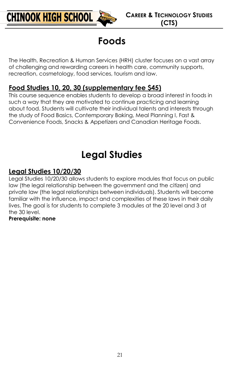

### **Foods**

The Health, Recreation & Human Services (HRH) cluster focuses on a vast array of challenging and rewarding careers in health care, community supports, recreation, cosmetology, food services, tourism and law.

#### **Food Studies 10, 20, 30 (supplementary fee \$45)**

This course sequence enables students to develop a broad interest in foods in such a way that they are motivated to continue practicing and learning about food. Students will cultivate their individual talents and interests through the study of Food Basics, Contemporary Baking, Meal Planning I, Fast & Convenience Foods, Snacks & Appetizers and Canadian Heritage Foods.

### **Legal Studies**

#### **Legal Studies 10/20/30**

Legal Studies 10/20/30 allows students to explore modules that focus on public law (the legal relationship between the government and the citizen) and private law (the legal relationships between individuals). Students will become familiar with the influence, impact and complexities of these laws in their daily lives. The goal is for students to complete 3 modules at the 20 level and 3 at the 30 level.

#### **Prerequisite: none**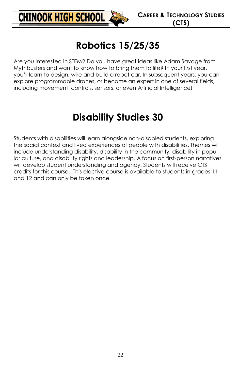

### **Robotics 15/25/35**

Are you interested in STEM? Do you have great ideas like Adam Savage from Mythbusters and want to know how to bring them to life? In your first year, you'll learn to design, wire and build a robot car. In subsequent years, you can explore programmable drones, or become an expert in one of several fields, including movement, controls, sensors, or even Artificial Intelligence!

### **Disability Studies 30**

Students with disabilities will learn alongside non-disabled students, exploring the social context and lived experiences of people with disabilities. Themes will include understanding disability, disability in the community, disability in popular culture, and disability rights and leadership. A focus on first-person narratives will develop student understanding and agency. Students will receive CTS credits for this course. This elective course is available to students in grades 11 and 12 and can only be taken once.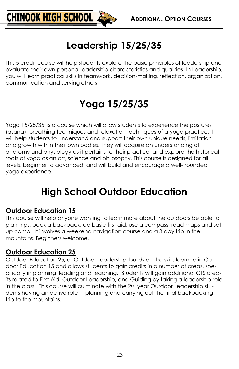

### **Leadership 15/25/35**

This 5 credit course will help students explore the basic principles of leadership and evaluate their own personal leadership characteristics and qualities. In Leadership, you will learn practical skills in teamwork, decision-making, reflection, organization, communication and serving others.

### **Yoga 15/25/35**

Yoga 15/25/35 is a course which will allow students to experience the postures (asana), breathing techniques and relaxation techniques of a yoga practice. It will help students to understand and support their own unique needs, limitation and growth within their own bodies. They will acquire an understanding of anatomy and physiology as it pertains to their practice, and explore the historical roots of yoga as an art, science and philosophy. This course is designed for all levels, beginner to advanced, and will build and encourage a well- rounded yoga experience.

### **High School Outdoor Education**

#### **Outdoor Education 15**

This course will help anyone wanting to learn more about the outdoors be able to plan trips, pack a backpack, do basic first aid, use a compass, read maps and set up camp. It involves a weekend navigation course and a 3 day trip in the mountains. Beginners welcome.

#### **Outdoor Education 25**

Outdoor Education 25, or Outdoor Leadership, builds on the skills learned in Outdoor Education 15 and allows students to gain credits in a number of areas, specifically in planning, leading and teaching. Students will gain additional CTS credits related to First Aid, Outdoor Leadership, and Guiding by taking a leadership role in the class. This course will culminate with the 2<sup>nd</sup> year Outdoor Leadership students having an active role in planning and carrying out the final backpacking trip to the mountains.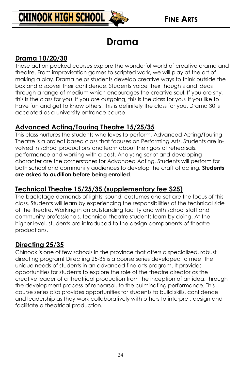

### **Drama**

#### **Drama 10/20/30**

These action packed courses explore the wonderful world of creative drama and theatre. From improvisation games to scripted work, we will play at the art of making a play. Drama helps students develop creative ways to think outside the box and discover their confidence. Students voice their thoughts and ideas through a range of medium which encourages the creative soul. If you are shy, this is the class for you. If you are outgoing, this is the class for you. If you like to have fun and get to know others, this is definitely the class for you. Drama 30 is accepted as a university entrance course.

#### **Advanced Acting/Touring Theatre 15/25/35**

This class nurtures the students who loves to perform. Advanced Acting/Touring Theatre is a project based class that focuses on Performing Arts. Students are involved in school productions and learn about the rigors of rehearsals, performance and working with a cast. Analysing script and developing character are the cornerstones for Advanced Acting. Students will perform for both school and community audiences to develop the craft of acting. **Students are asked to audition before being enrolled**.

#### **Technical Theatre 15/25/35 (supplementary fee \$25)**

The backstage demands of lights, sound, costumes and set are the focus of this class. Students will learn by experiencing the responsibilities of the technical side of the theatre. Working in an outstanding facility and with school staff and community professionals, technical theatre students learn by doing. At the higher level, students are introduced to the design components of theatre productions.

#### **Directing 25/35**

Chinook is one of few schools in the province that offers a specialized, robust directing program! Directing 25-35 is a course series developed to meet the unique needs of students in an advanced fine arts program. It provides opportunities for students to explore the role of the theatre director as the creative leader of a theatrical production from the inception of an idea, through the development process of rehearsal, to the culminating performance. This course series also provides opportunities for students to build skills, confidence and leadership as they work collaboratively with others to interpret, design and facilitate a theatrical production.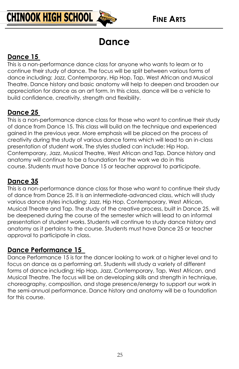### **Dance**

#### **Dance 15**

This is a non-performance dance class for anyone who wants to learn or to continue their study of dance. The focus will be split between various forms of dance including: Jazz, Contemporary, Hip Hop, Tap, West African and Musical Theatre. Dance history and basic anatomy will help to deepen and broaden our appreciation for dance as an art form. In this class, dance will be a vehicle to build confidence, creativity, strength and flexibility.

#### **Dance 25**

This is a non-performance dance class for those who want to continue their study of dance from Dance 15. This class will build on the technique and experienced gained in the previous year. More emphasis will be placed on the process of creativity during the study of various dance forms which will lead to an in-class presentation of student work. The styles studied can include: Hip Hop, Contemporary, Jazz, Musical Theatre, West African and Tap. Dance history and anatomy will continue to be a foundation for the work we do in this course. Students must have Dance 15 or teacher approval to participate.

#### **Dance 35**

This is a non-performance dance class for those who want to continue their study of dance from Dance 25. It is an intermediate-advanced class, which will study various dance styles including: Jazz, Hip Hop, Contemporary, West African, Musical Theatre and Tap. The study of the creative process, built in Dance 25, will be deepened during the course of the semester which will lead to an informal presentation of student works. Students will continue to study dance history and anatomy as it pertains to the course. Students must have Dance 25 or teacher approval to participate in class.

#### **Dance Performance 15**

Dance Performance 15 is for the dancer looking to work at a higher level and to focus on dance as a performing art. Students will study a variety of different forms of dance including: Hip Hop, Jazz, Contemporary, Tap, West African, and Musical Theatre. The focus will be on developing skills and strength in technique, choreography, composition, and stage presence/energy to support our work in the semi-annual performance. Dance history and anatomy will be a foundation for this course.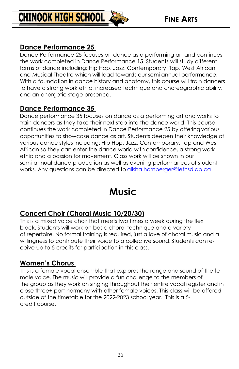#### **Dance Performance 25**

**CHINOOK HIGH SCHOOL** 

Dance Performance 25 focuses on dance as a performing art and continues the work completed in Dance Performance 15. Students will study different forms of dance including: Hip Hop, Jazz, Contemporary, Tap, West African, and Musical Theatre which will lead towards our semi-annual performance. With a foundation in dance history and anatomy, this course will train dancers to have a strong work ethic, increased technique and choreographic ability, and an energetic stage presence.

#### **Dance Performance 35**

Dance performance 35 focuses on dance as a performing art and works to train dancers as they take their next step into the dance world. This course continues the work completed in Dance Performance 25 by offeringvarious opportunities to showcase dance as art. Students deepen their knowledge of various dance styles including: Hip Hop, Jazz, Contemporary, Tap and West African so they can enter the dance world with confidence, a strong work ethic and a passion for movement. Class work will be shown in our semi-annual dance production as well as evening performances of student works. Any questions can be directed to [alisha.hornberger@lethsd.ab.ca.](mailto:alisha.hornberger@lethsd.ab.ca)

### **Music**

#### **Concert Choir (Choral Music 10/20/30)**

This is a mixed voice choir that meets two times a week during the flex block. Students will work on basic choral technique and a variety of repertoire. No formal training is required, just a love of choral music and a willingness to contribute their voice to a collective sound. Students can receive up to 5 credits for participation in this class.

#### **Women's Chorus**

This is a female vocal ensemble that explores the range and sound of the female voice. The music will provide a fun challenge to the members of the group as they work on singing throughout their entire vocal register and in close three+ part harmony with other female voices. This class will be offered outside of the timetable for the 2022-2023 school year. This is a 5 credit course.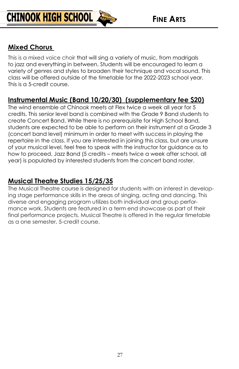

#### **Mixed Chorus**

This is a mixed voice choir that will sing a variety of music, from madrigals to jazz and everything in between. Students will be encouraged to learn a variety of genres and styles to broaden their technique and vocal sound. This class will be offered outside of the timetable for the 2022-2023 school year. This is a 5-credit course.

#### **Instrumental Music (Band 10/20/30) (supplementary fee \$20)**

The wind ensemble at Chinook meets at Flex twice a week all year for 5 credits. This senior level band is combined with the Grade 9 Band students to create Concert Band. While there is no prerequisite for High School Band, students are expected to be able to perform on their instrument at a Grade 3 (concert band level) minimum in order to meet with success in playing the repertoire in the class. If you are interested in joining this class, but are unsure of your musical level, feel free to speak with the instructor for guidance as to how to proceed. Jazz Band (5 credits – meets twice a week after school, all year) is populated by interested students from the concert band roster.

#### **Musical Theatre Studies 15/25/35**

The Musical Theatre course is designed for students with an interest in developing stage performance skills in the areas of singing, acting and dancing. This diverse and engaging program utilizes both individual and group performance work. Students are featured in a term end showcase as part of their final performance projects. Musical Theatre is offered in the regular timetable as a one semester, 5-credit course.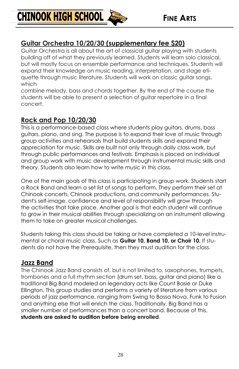#### **Guitar Orchestra 10/20/30 (supplementary fee \$20)**

Guitar Orchestra is all about the art of classical guitar playing with students building off of what they previously learned. Students will learn solo classical, but will mostly focus on ensemble performance and techniques. Students will expand their knowledge on music reading, interpretation, and stage etiquette through music literature. Students will work on classic guitar songs, which

combine melody, bass and chords together. By the end of the course the students will be able to present a selection of guitar repertoire in a final concert.

#### **Rock and Pop 10/20/30**

**CHINOOK HIGH SCHOOL** 

This is a performance-based class where students play guitars, drums, bass guitars, piano, and sing. The purpose is to expand their love of music through group activities and rehearsals that build students skills and expand their appreciation for music. Skills are built not only through daily class work, but through public performances and festivals. Emphasis is placed on individual and group work with music development through instrumental music skills and theory. Students also learn how to write music in this class.

One of the main goals of this class is participating in group work. Students start a Rock Band and learn a set list of songs to perform. They perform their set at Chinook concerts, Chinook productions, and community performances. Student's self-image, confidence and level of responsibility will grow through the activities that take place. Another goal is that each student will continue to grow in their musical abilities through specializing on an instrument allowing them to take on greater musical challenges.

Students taking this class should be taking or have completed a 10-level instrumental or choral music class. Such as **Guitar 10, Band 10, or Choir 10.** If students do not have the Prerequisite, then they must audition for the class.

#### **Jazz Band**

The Chinook Jazz Band consists of, but is not limited to, saxophones, trumpets, trombones and a full rhythm section (drum set, bass, guitar and piano) like a traditional Big Band modeled on legendary acts like Count Basie or Duke Ellington. This group studies and performs a variety of literature from various periods of jazz performance, ranging from Swing to Bossa Nova, Funk to Fusion and anything else that will enrich the class. Traditionally, Big Band has a smaller number of performances than a concert band. Because of this, **students are asked to audition before being enrolled**.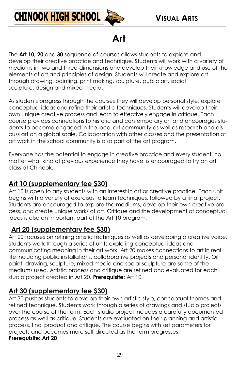

### **Art**

The **Art 10, 20** and **30** sequence of courses allows students to explore and develop their creative practice and technique. Students will work with a variety of mediums in two and three-dimensions and develop their knowledge and use of the elements of art and principles of design. Students will create and explore art through drawing, painting, print making, sculpture, public art, social sculpture, design and mixed media.

As students progress through the courses they will develop personal style, explore conceptual ideas and refine their artistic techniques. Students will develop their own unique creative process and learn to effectively engage in critique. Each course provides connections to historic and contemporary art and encourages students to become engaged in the local art community as well as research and discuss art on a global scale. Collaboration with other classes and the presentation of art work in the school community is also part of the art program.

Everyone has the potential to engage in creative practice and every student, no matter what kind of previous experience they have, is encouraged to try an art class at Chinook.

#### **Art 10 (supplementary fee \$30)**

Art 10 is open to any students with an interest in art or creative practice. Each unit begins with a variety of exercises to learn techniques, followed by a final project. Students are encouraged to explore the mediums, develop their own creative process, and create unique works of art. Critique and the development of conceptual ideas is also an important part of the Art 10 program.

#### **Art 20 (supplementary fee \$30)**

Art 20 focuses on refining artistic techniques as well as developing a creative voice. Students work through a series of units exploring conceptual ideas and communicating meaning in their art work. Art 20 makes connections to art in real life including public installations, collaborative projects and personal identity. Oil paint, drawing, sculpture, mixed media and social sculpture are some of the mediums used. Artistic process and critique are refined and evaluated for each studio project created in Art 20. **Prerequisite:** Art 10

#### **Art 30 (supplementary fee \$30)**

Art 30 pushes students to develop their own artistic style, conceptual themes and refined technique. Students work through a series of drawings and studio projects over the course of the term. Each studio project includes a carefully documented process as well as critique. Students are evaluated on their planning and artistic process, final product and critique. The course begins with set parameters for projects and becomes more self-directed as the term progresses. **Prerequisite: Art 20**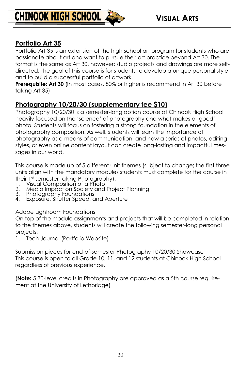

**CHINOOK HIGH SCHOOL** 

#### **Portfolio Art 35**

Portfolio Art 35 is an extension of the high school art program for students who are passionate about art and want to pursue their art practice beyond Art 30. The format is the same as Art 30, however; studio projects and drawings are more selfdirected. The goal of this course is for students to develop a unique personal style and to build a successful portfolio of artwork.

**Prerequisite: Art 30** (In most cases, 80% or higher is recommend in Art 30 before taking Art 35)

#### **Photography 10/20/30 (supplementary fee \$10)**

Photography 10/20/30 is a semester-long option course at Chinook High School heavily focused on the 'science' of photography and what makes a 'good' photo. Students will focus on fostering a strong foundation in the elements of photography composition. As well, students will learn the importance of photography as a means of communication, and how a series of photos, editing styles, or even online content layout can create long-lasting and impactful messages in our world.

This course is made up of 5 different unit themes (subject to change; the first three units align with the mandatory modules students must complete for the course in their 1st semester taking Photography):

- 
- 1. Visual Composition of a Photo<br>2. Media Impact on Society and<br>3. Photography Foundations 2. Media Impact on Society and Project Planning
- 3. Photography Foundations
- 4. Exposure, Shutter Speed, and Aperture

#### Adobe Lightroom Foundations

On top of the module assignments and projects that will be completed in relation to the themes above, students will create the following semester-long personal projects:

1. Tech Journal (Portfolio Website)

Submission pieces for end-of-semester Photography 10/20/30 Showcase This course is open to all Grade 10, 11, and 12 students at Chinook High School regardless of previous experience.

(**Note:** 5 30-level credits in Photography are approved as a 5th course requirement at the University of Lethbridge)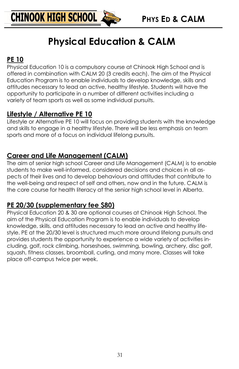

### **Physical Education & CALM**

#### **PE 10**

Physical Education 10 is a compulsory course at Chinook High School and is offered in combination with CALM 20 (3 credits each). The aim of the Physical Education Program is to enable individuals to develop knowledge, skills and attitudes necessary to lead an active, healthy lifestyle. Students will have the opportunity to participate in a number of different activities including a variety of team sports as well as some individual pursuits.

#### **Lifestyle / Alternative PE 10**

Lifestyle or Alternative PE 10 will focus on providing students with the knowledge and skills to engage in a healthy lifestyle. There will be less emphasis on team sports and more of a focus on individual lifelong pursuits.

#### **Career and Life Management (CALM)**

The aim of senior high school Career and Life Management (CALM) is to enable students to make well-informed, considered decisions and choices in all aspects of their lives and to develop behaviours and attitudes that contribute to the well-being and respect of self and others, now and in the future. CALM is the core course for health literacy at the senior high school level in Alberta.

#### **PE 20/30 (supplementary fee \$80)**

Physical Education 20 & 30 are optional courses at Chinook High School. The aim of the Physical Education Program is to enable individuals to develop knowledge, skills, and attitudes necessary to lead an active and healthy lifestyle. PE at the 20/30 level is structured much more around lifelong pursuits and provides students the opportunity to experience a wide variety of activities including, golf, rock climbing, horseshoes, swimming, bowling, archery, disc golf, squash, fitness classes, broomball, curling, and many more. Classes will take place off-campus twice per week.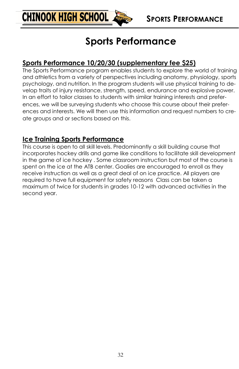

### **Sports Performance**

#### **Sports Performance 10/20/30 (supplementary fee \$25)**

The Sports Performance program enables students to explore the world of training and athletics from a variety of perspectives including anatomy, physiology, sports psychology, and nutrition. In the program students will use physical training to develop traits of injury resistance, strength, speed, endurance and explosive power. In an effort to tailor classes to students with similar training interests and preferences, we will be surveying students who choose this course about their preferences and interests. We will then use this information and request numbers to create groups and or sections based on this.

#### **Ice Training Sports Performance**

This course is open to all skill levels. Predominantly a skill building course that incorporates hockey drills and game like conditions to facilitate skill development in the game of ice hockey . Some classroom instruction but most of the course is spent on the ice at the ATB center. Goalies are encouraged to enroll as they receive instruction as well as a great deal of on ice practice. All players are required to have full equipment for safety reasons Class can be taken a maximum of twice for students in grades 10-12 with advanced activities in the second year.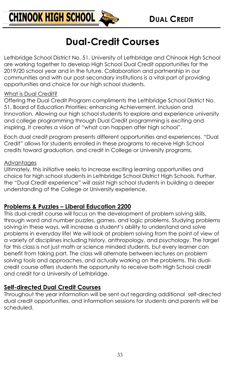

### **Dual-Credit Courses**

Lethbridge School District No. 51, University of Lethbridge and Chinook High School are working together to develop High School Dual Credit opportunities for the 2019/20 school year and in the future. Collaboration and partnership in our communities and with our post-secondary institutions is a vital part of providing opportunities and choice for our high school students.

#### What is Dual Credit?

Offering the Dual Credit Program compliments the Lethbridge School District No. 51, Board of Education Priorities: enhancing Achievement, Inclusion and Innovation. Allowing our high school students to explore and experience university and college programming through Dual Credit programming is exciting and inspiring. It creates a vision of "what can happen after high school".

Each dual credit program presents different opportunities and experiences. "Dual Credit" allows for students enrolled in these programs to receive High School credits toward graduation, and credit in College or University programs.

#### Advantages

Ultimately, this initiative seeks to increase exciting learning opportunities and choice for high school students in Lethbridge School District High Schools. Further, the "Dual Credit experience" will assist high school students in building a deeper understanding of the College or University experience.

#### **Problems & Puzzles – Liberal Education 2200**

This dual-credit course will focus on the development of problem solving skills, through word and number puzzles, games, and logic problems. Studying problems solving in these ways, will increase a student's ability to understand and solve problems in everyday life! We will look at problem solving from the point of view of a variety of disciplines including history, anthropology, and psychology. The target for this class is not just math or science minded students, but every learner can benefit from taking part. The class will alternate between lectures on problem solving tools and approaches, and actually working on the problems. This dualcredit course offers students the opportunity to receive both High School credit and credit for a University of Lethbridge.

#### **Self-directed Dual Credit Courses**

Throughout the year information will be sent out regarding additional self-directed dual credit opportunities, and information sessions for students and parents will be scheduled.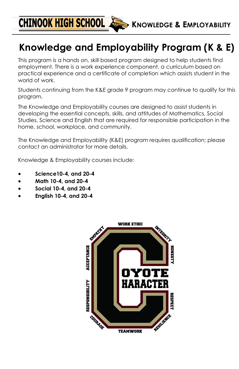**CHINOOK HIGH SCHOOL & KNOWLEDGE & EMPLOYABILITY** 

### **Knowledge and Employability Program (K & E)**

This program is a hands on, skill based program designed to help students find employment. There is a work experience component, a curriculum based on practical experience and a certificate of completion which assists student in the world of work.

Students continuing from the K&E grade 9 program may continue to qualify for this program.

The Knowledge and Employability courses are designed to assist students in developing the essential concepts, skills, and attitudes of Mathematics, Social Studies, Science and English that are required for responsible participation in the home, school, workplace, and community.

The Knowledge and Employability (K&E) program requires qualification; please contact an administrator for more details.

Knowledge & Employability courses include:

- **Science10-4, and 20-4**
- **Math 10-4, and 20-4**
- **Social 10-4, and 20-4**
- **English 10-4, and 20-4**